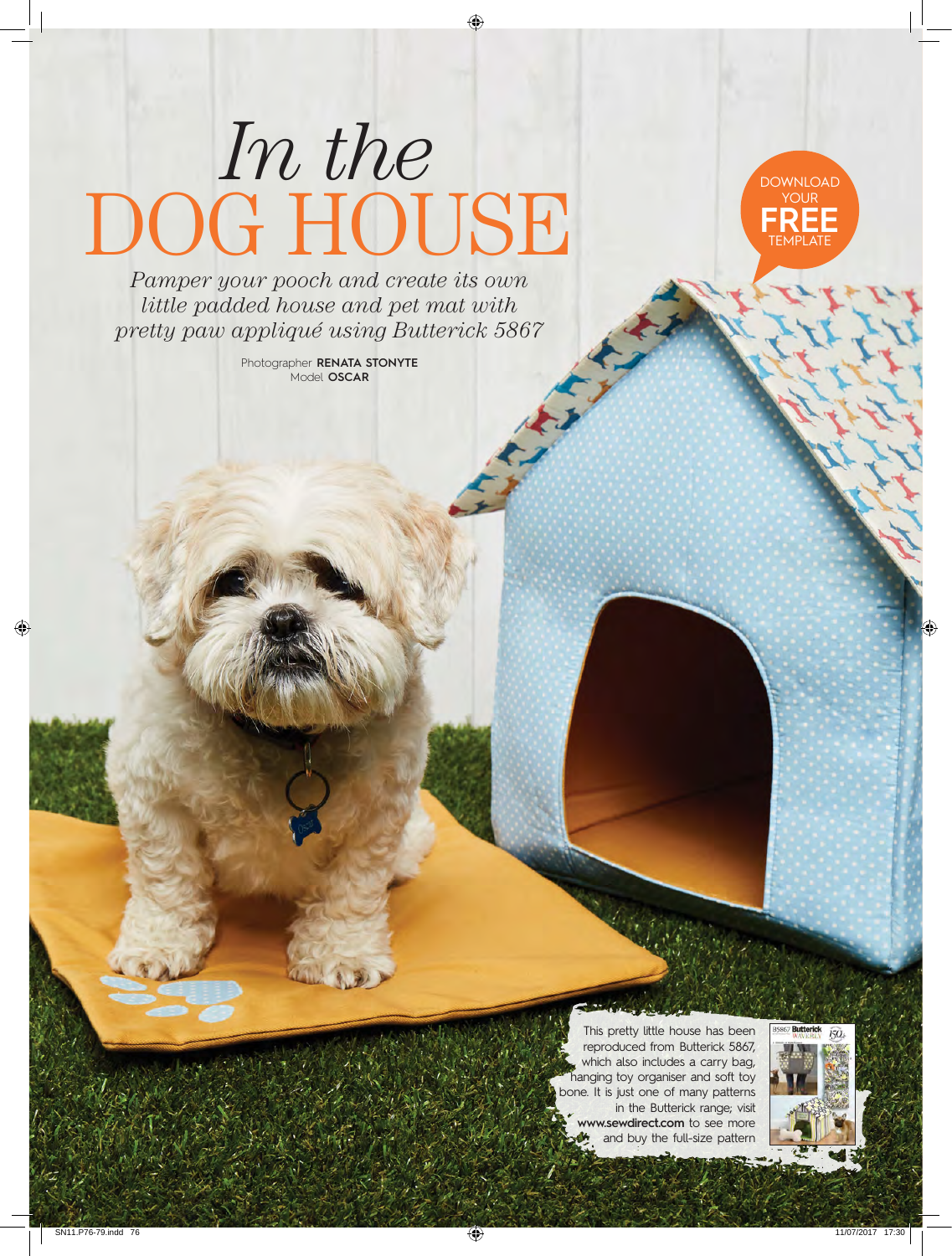# *In the* DOG HOUSE



*Pamper your pooch and create its own little padded house and pet mat with pretty paw appliqué using Butterick 5867*

> Photographer **RENATA STONYTE** Model **OSCAR**

> > This pretty little house has been reproduced from Butterick 5867, which also includes a carry bag, hanging toy organiser and soft toy bone. It is just one of many patterns in the Butterick range; visit **www.sewdirect.com** to see more and buy the full-size pattern

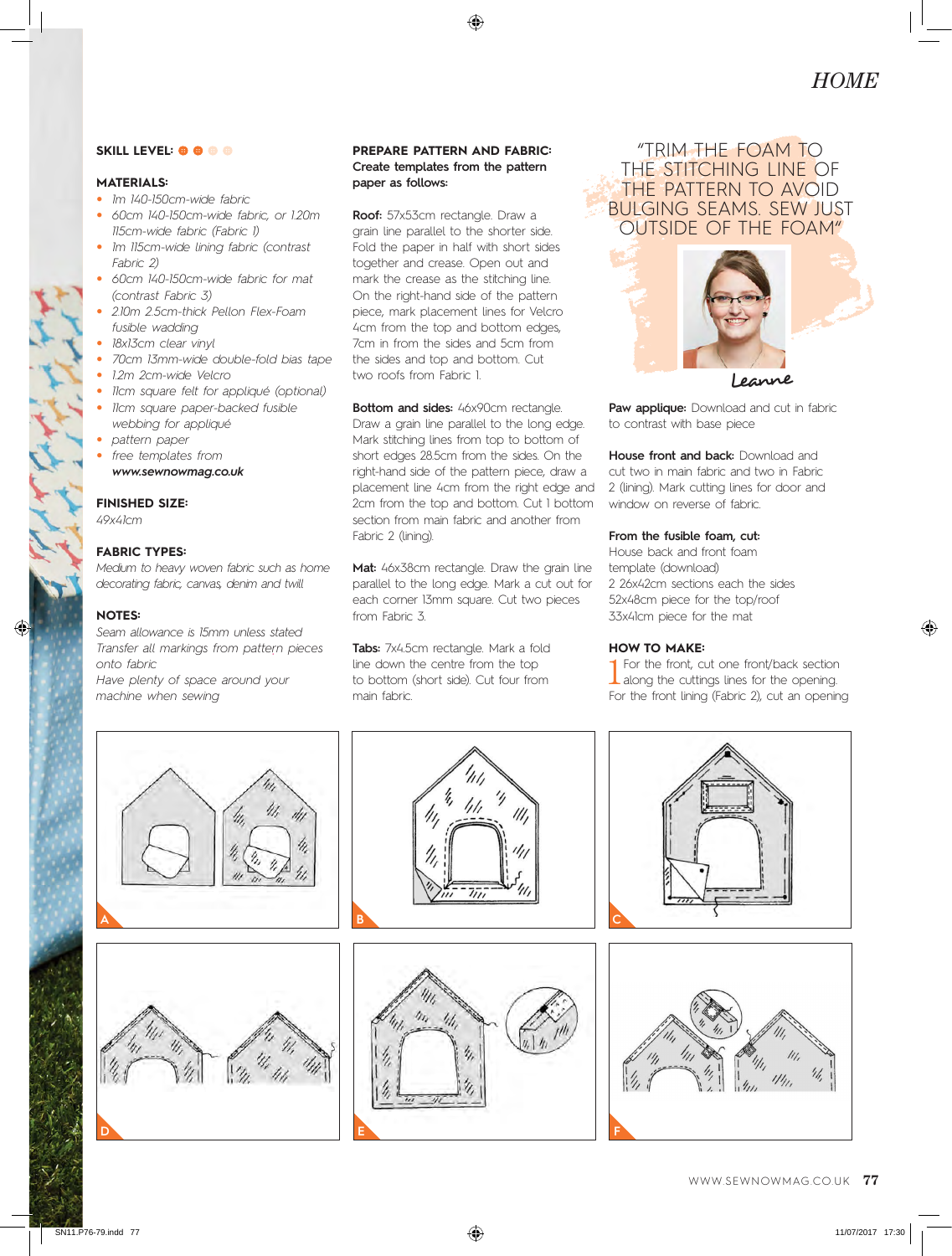### **SKILL LEVEL: <b>@** @ @ @

# **MATERIALS:**

- *1m 140-150cm-wide fabric*
- *60cm 140-150cm-wide fabric, or 1.20m 115cm-wide fabric (Fabric 1)*
- *1m 115cm-wide lining fabric (contrast Fabric 2)*
- *60cm 140-150cm-wide fabric for mat (contrast Fabric 3)*
- *2.10m 2.5cm-thick Pellon Flex-Foam fusible wadding*
- *18x13cm clear vinyl*
- *70cm 13mm-wide double-fold bias tape*
- *1.2m 2cm-wide Velcro*
- *11cm square felt for appliqué (optional)*
- *11cm square paper-backed fusible webbing for appliqué*
- *pattern paper*
- *free templates from www.sewnowmag.co.uk*

### **FINISHED SIZE:**

*49x41cm*

# **FABRIC TYPES:**

*Medium to heavy woven fabric such as home decorating fabric, canvas, denim and twill*

### **NOTES:**

*Seam allowance is 15mm unless stated Transfer all markings from pattern pieces onto fabric Have plenty of space around your* 

*machine when sewing*

# **PREPARE PATTERN AND FABRIC: Create templates from the pattern paper as follows:**

**Roof:** 57x53cm rectangle. Draw a grain line parallel to the shorter side. Fold the paper in half with short sides together and crease. Open out and mark the crease as the stitching line. On the right-hand side of the pattern piece, mark placement lines for Velcro 4cm from the top and bottom edges, 7cm in from the sides and 5cm from the sides and top and bottom. Cut two roofs from Fabric 1.

**Bottom and sides:** 46x90cm rectangle. Draw a grain line parallel to the long edge. Mark stitching lines from top to bottom of short edges 28.5cm from the sides. On the right-hand side of the pattern piece, draw a placement line 4cm from the right edge and 2cm from the top and bottom. Cut 1 bottom section from main fabric and another from Fabric 2 (lining).

**Mat:** 46x38cm rectangle. Draw the grain line parallel to the long edge. Mark a cut out for each corner 13mm square. Cut two pieces from Fabric 3.

**Tabs:** 7x4.5cm rectangle. Mark a fold line down the centre from the top to bottom (short side). Cut four from main fabric.

# "TRIM THE FOAM TO THE STITCHING LINE OF THE PATTERN TO AVOID BULGING SEAMS. SEW JUST OUTSIDE OF THE FOAM"



Leanne

Paw applique: Download and cut in fabric to contrast with base piece

**House front and back:** Download and cut two in main fabric and two in Fabric 2 (lining). Mark cutting lines for door and window on reverse of fabric.

## **From the fusible foam, cut:**

House back and front foam template (download) 2 26x42cm sections each the sides 52x48cm piece for the top/roof 33x41cm piece for the mat

#### **HOW TO MAKE:**

1 For the front, cut one front/back section along the cuttings lines for the opening. For the front lining (Fabric 2), cut an opening

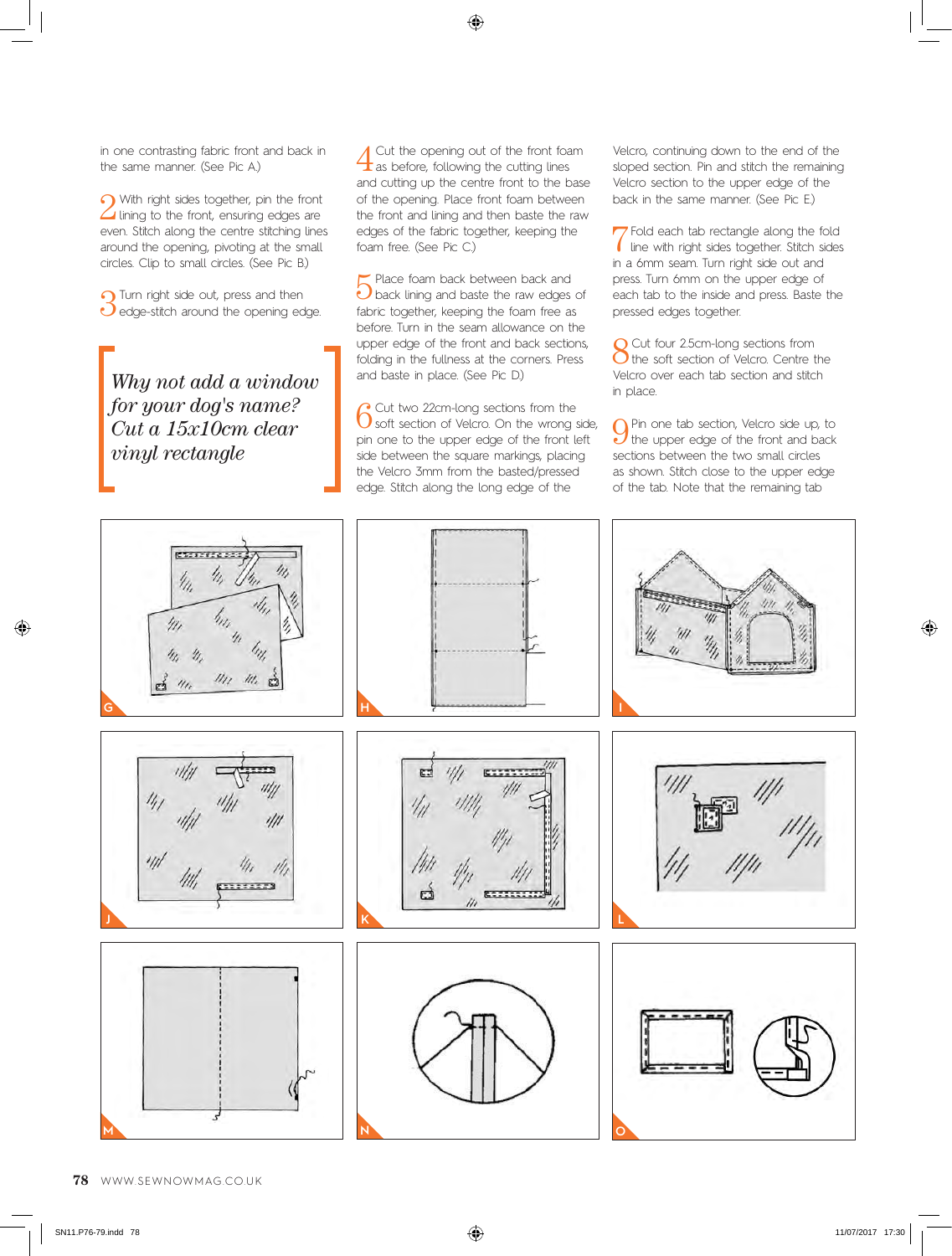in one contrasting fabric front and back in the same manner. (See Pic A.)

2With right sides together, pin the front lining to the front, ensuring edges are even. Stitch along the centre stitching lines around the opening, pivoting at the small circles. Clip to small circles. (See Pic B.)

**3** Turn right side out, press and then<br> **O** edge-stitch around the opening edge.

*Why not add a window for your dog's name? Cut a 15x10cm clear vinyl rectangle*

Cut the opening out of the front foam  $\pm$  as before, following the cutting lines and cutting up the centre front to the base of the opening. Place front foam between the front and lining and then baste the raw edges of the fabric together, keeping the foam free. (See Pic C.)

5Place foam back between back and back lining and baste the raw edges of fabric together, keeping the foam free as before. Turn in the seam allowance on the upper edge of the front and back sections, folding in the fullness at the corners. Press and baste in place. (See Pic D.)

6Cut two 22cm-long sections from the<br>
6Soft section of Velcro. On the wrong side, pin one to the upper edge of the front left side between the square markings, placing the Velcro 3mm from the basted/pressed edge. Stitch along the long edge of the

Velcro, continuing down to the end of the sloped section. Pin and stitch the remaining Velcro section to the upper edge of the back in the same manner. (See Pic E.)

7Fold each tab rectangle along the fold line with right sides together. Stitch sides in a 6mm seam. Turn right side out and press. Turn 6mm on the upper edge of each tab to the inside and press. Baste the pressed edges together.

8 Cut four 2.5cm-long sections from<br>8 the soft section of Velcro. Centre the Velcro over each tab section and stitch in place.

 $\bigcap_{\alpha}$  Pin one tab section, Velcro side up, to the upper edge of the front and back sections between the two small circles as shown. Stitch close to the upper edge of the tab. Note that the remaining tab

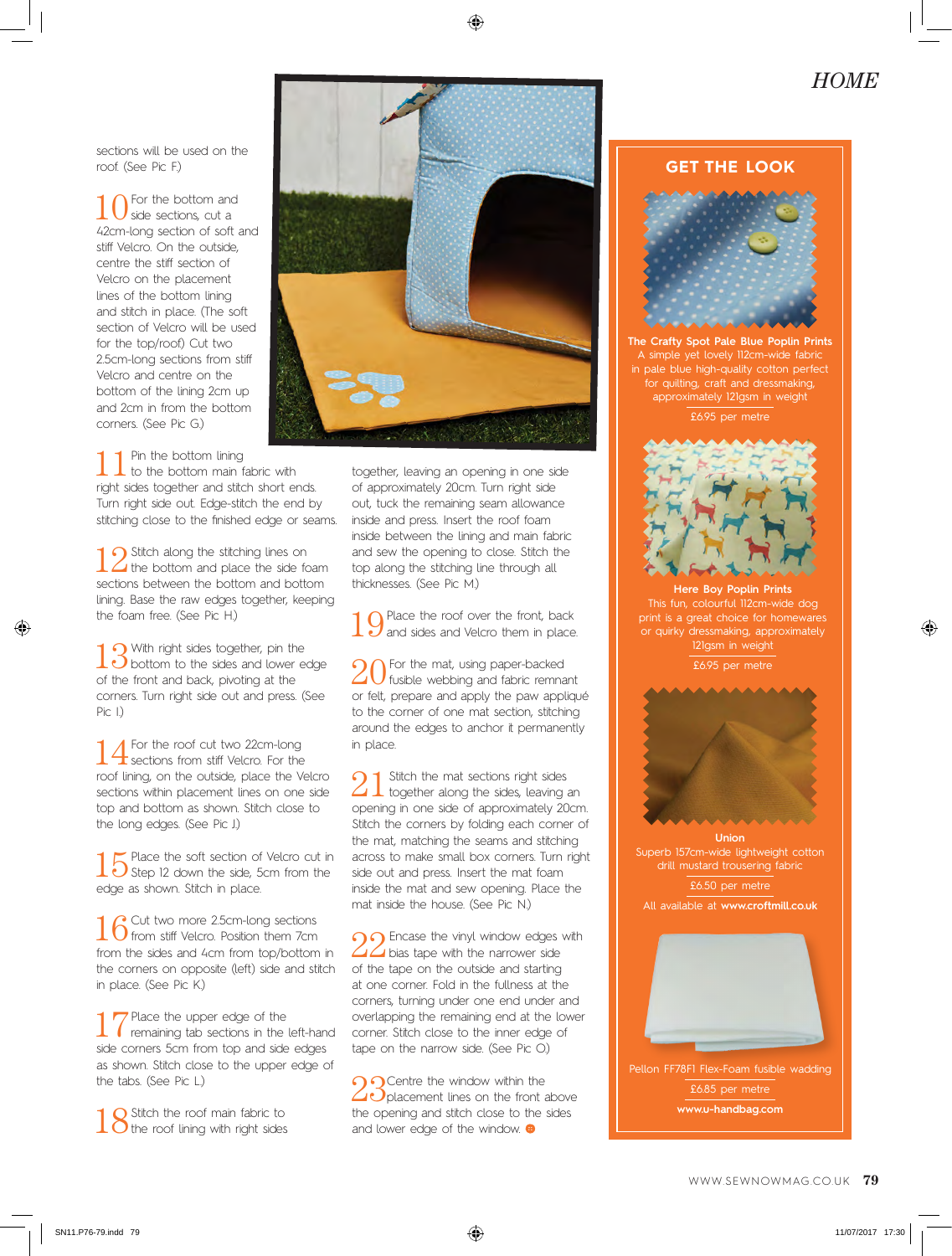# *HOME*

sections will be used on the roof. (See Pic F.)

10 For the bottom and side sections, cut a 42cm-long section of soft and stiff Velcro. On the outside, centre the stiff section of Velcro on the placement lines of the bottom lining and stitch in place. (The soft section of Velcro will be used for the top/roof) Cut two 2.5cm-long sections from stiff Velcro and centre on the bottom of the lining 2cm up and 2cm in from the bottom corners. (See Pic G.)



1 1 Pin the bottom lining<br>to the bottom main fabric with right sides together and stitch short ends. Turn right side out. Edge-stitch the end by stitching close to the finished edge or seams.

 $\bigcap$  Stitch along the stitching lines on I the bottom and place the side foam sections between the bottom and bottom lining. Base the raw edges together, keeping the foam free. (See Pic H.)

13 With right sides together, pin the<br>bottom to the sides and lower edge of the front and back, pivoting at the corners. Turn right side out and press. (See  $Pic 1)$ 

14 For the roof cut two 22cm-long<br>sections from stiff Velcro. For the roof lining, on the outside, place the Velcro sections within placement lines on one side top and bottom as shown. Stitch close to the long edges. (See Pic J.)

15 Place the soft section of Velcro cut in<br>3 Step 12 down the side, 5cm from the edge as shown. Stitch in place.

16 Cut two more 2.5cm-long sections<br>16 from stiff Velcro. Position them 7cm from the sides and 4cm from top/bottom in the corners on opposite (left) side and stitch in place. (See Pic K.)

17 Place the upper edge of the<br>remaining tab sections in the left-hand side corners 5cm from top and side edges as shown. Stitch close to the upper edge of the tabs. (See Pic L.)

18 Stitch the roof main fabric to the roof lining with right sides

together, leaving an opening in one side of approximately 20cm. Turn right side out, tuck the remaining seam allowance inside and press. Insert the roof foam inside between the lining and main fabric and sew the opening to close. Stitch the top along the stitching line through all thicknesses. (See Pic M.)

10 Place the roof over the front, back<br>and sides and Velcro them in place.

 $20$  For the mat, using paper-backed fusible webbing and fabric remnant or felt, prepare and apply the paw appliqué to the corner of one mat section, stitching around the edges to anchor it permanently in place.

 $21$  Stitch the mat sections right sides<br>together along the sides, leaving an opening in one side of approximately 20cm. Stitch the corners by folding each corner of the mat, matching the seams and stitching across to make small box corners. Turn right side out and press. Insert the mat foam inside the mat and sew opening. Place the mat inside the house. (See Pic N.)

 $\cap$  Encase the vinyl window edges with  $\Delta\Delta$  bias tape with the narrower side of the tape on the outside and starting at one corner. Fold in the fullness at the corners, turning under one end under and overlapping the remaining end at the lower corner. Stitch close to the inner edge of tape on the narrow side. (See Pic O.)

contre the window within the  $1$   $\bigcirc$  placement lines on the front above the opening and stitch close to the sides and lower edge of the window.  $\bigoplus$ 

# **GET THE LOOK**



**The Crafty Spot Pale Blue Poplin Prints**  A simple yet lovely 112cm-wide fabric in pale blue high-quality cotton perfect .<br>for quilting, craft and dressmaking, approximately 121gsm in weight £6.95 per metre



**Here Boy Poplin Prints**  This fun, colourful 112cm-wide dog print is a great choice for homewares or quirky dressmaking, approximately 121gsm in weight

£6.95 per metre



**Union** Superb 157cm-wide lightweight cotton drill mustard trousering fabric

£6.50 per metre

All available at **www.croftmill.co.uk** 

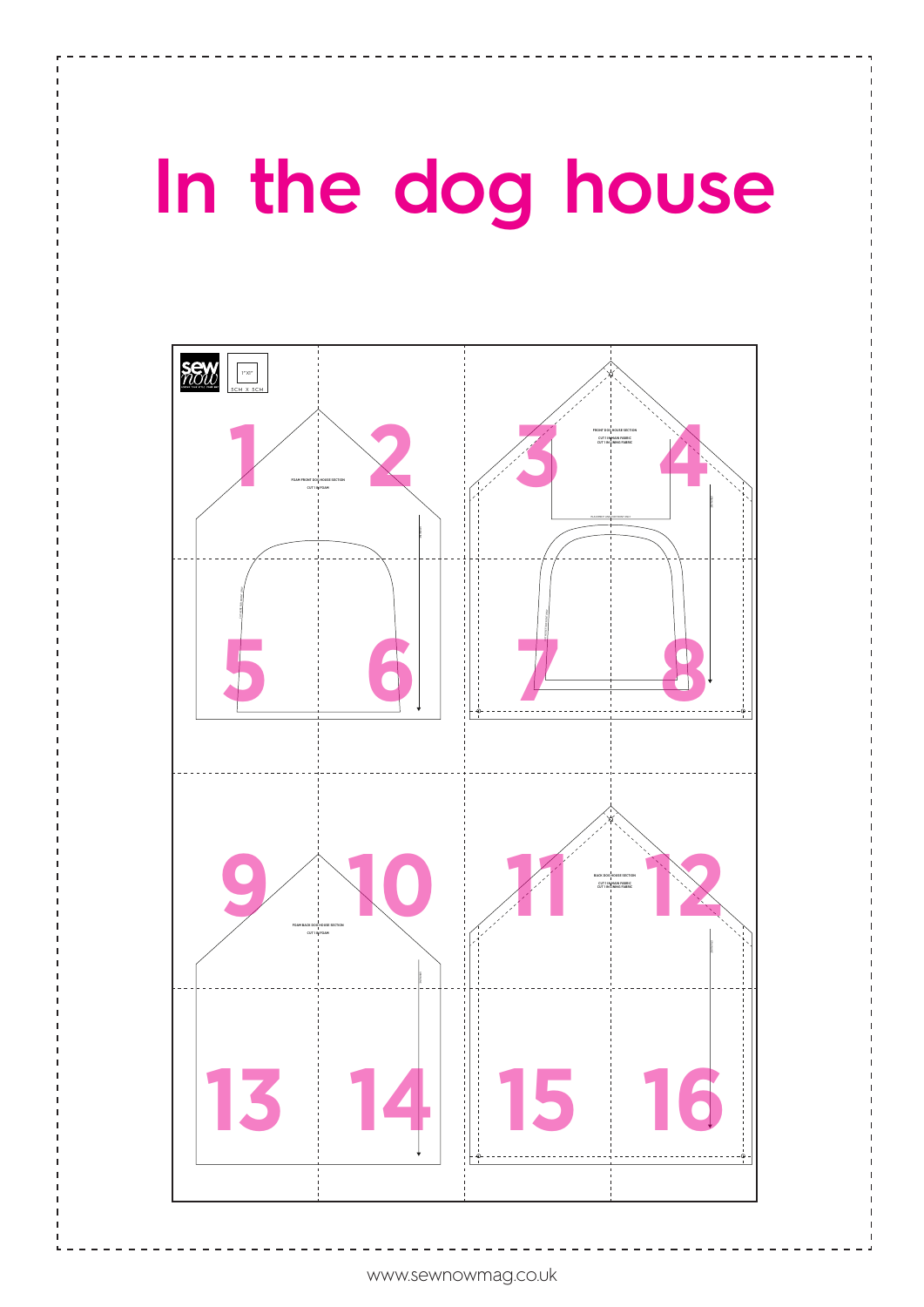# **In the dog house**

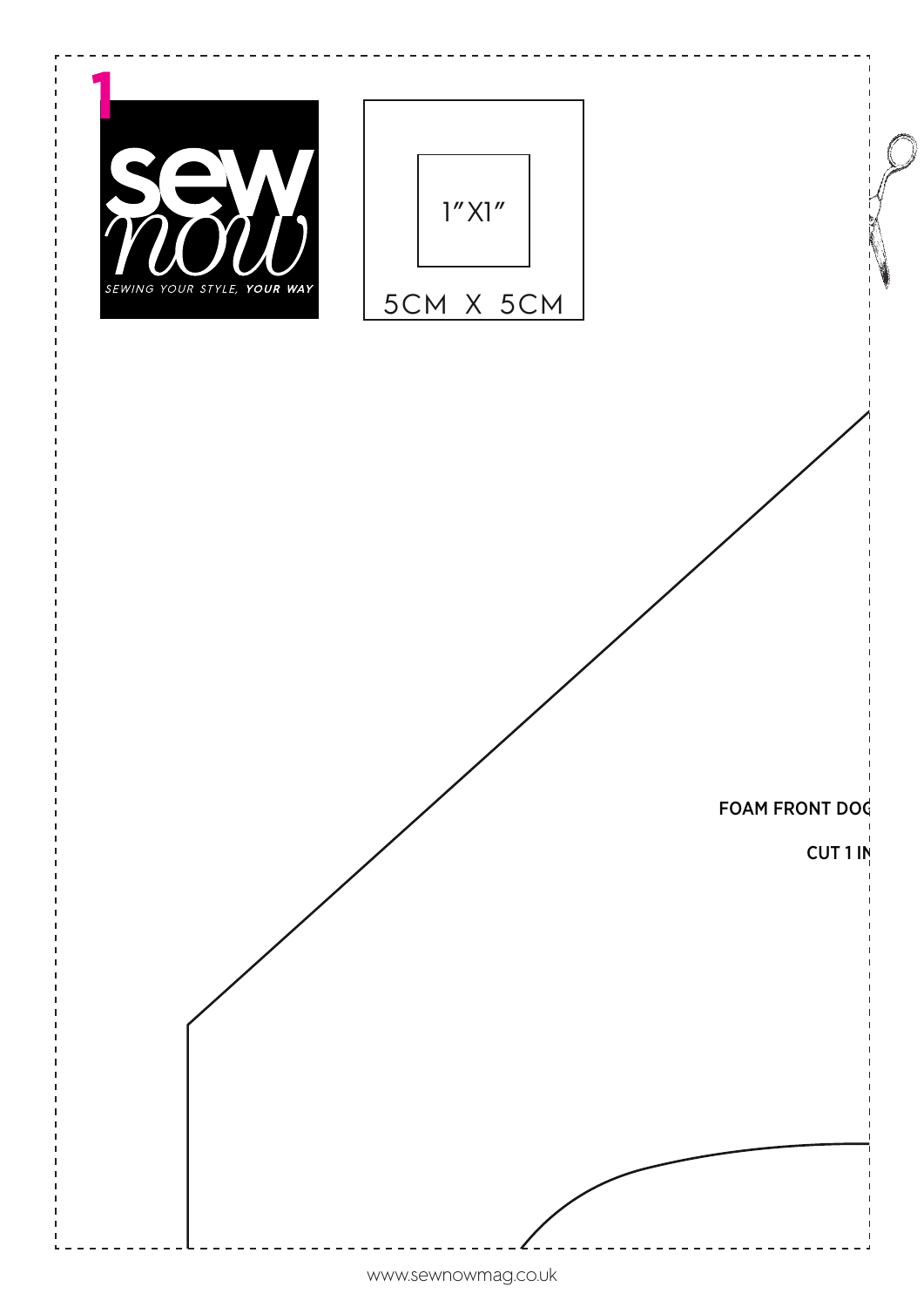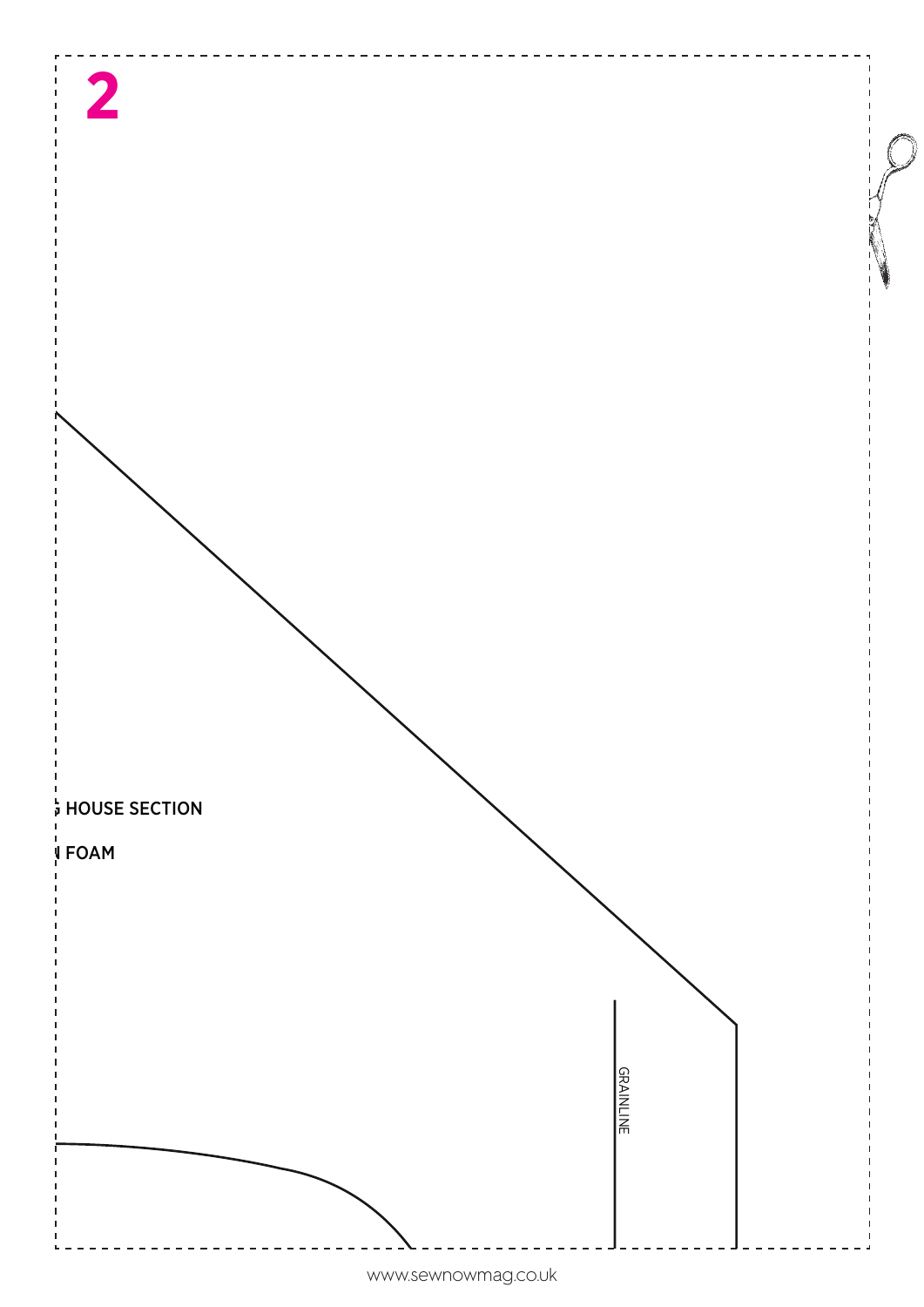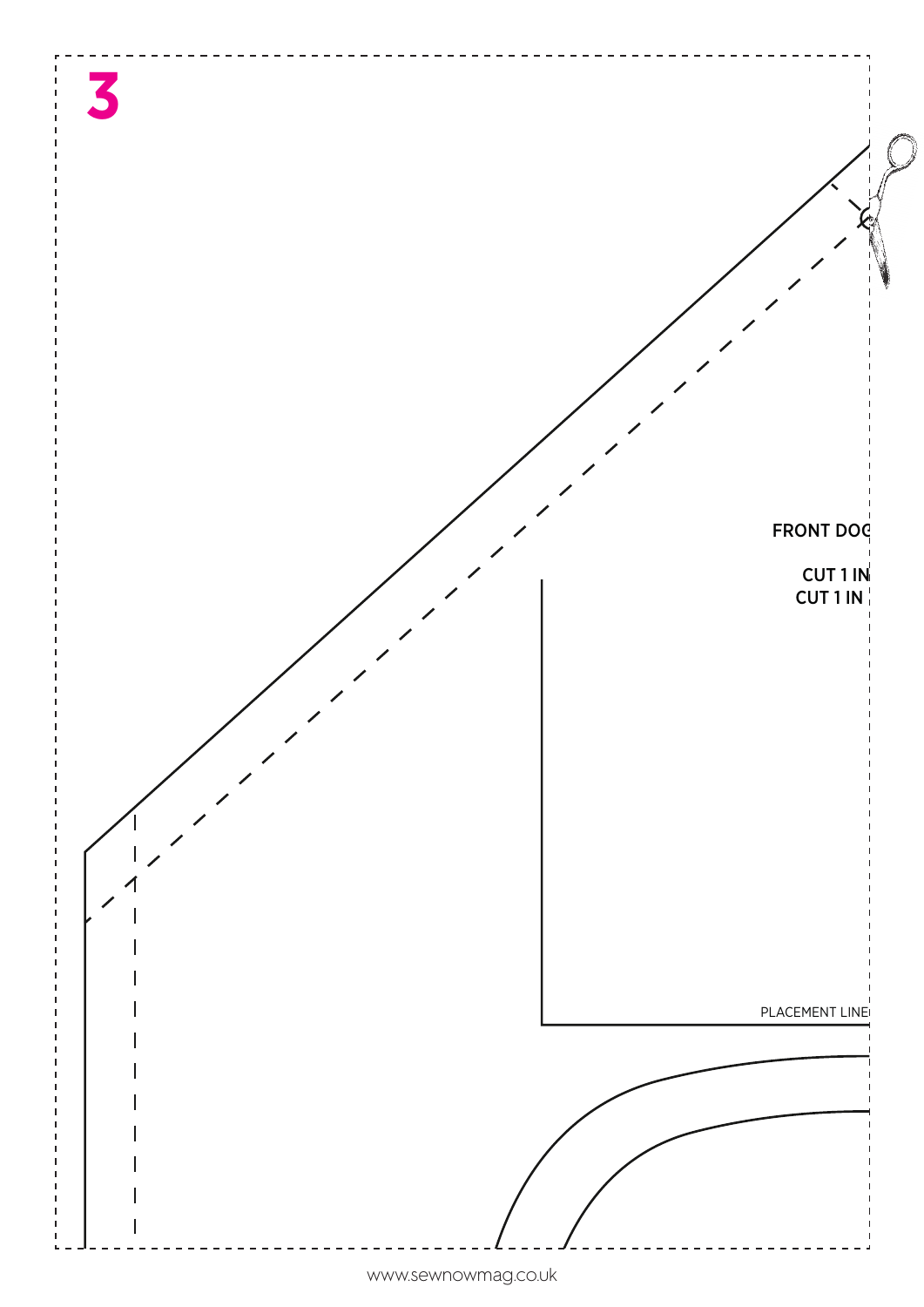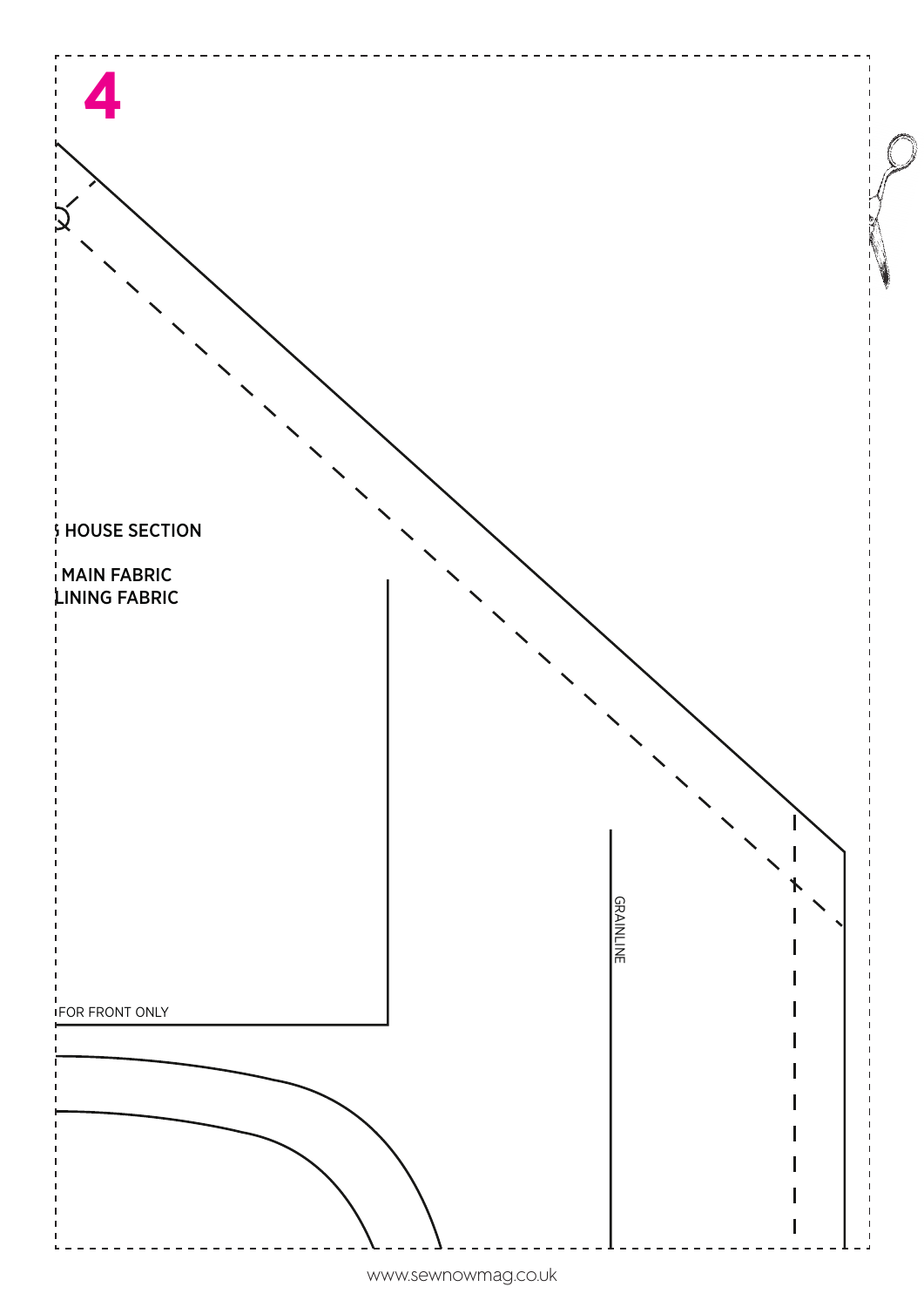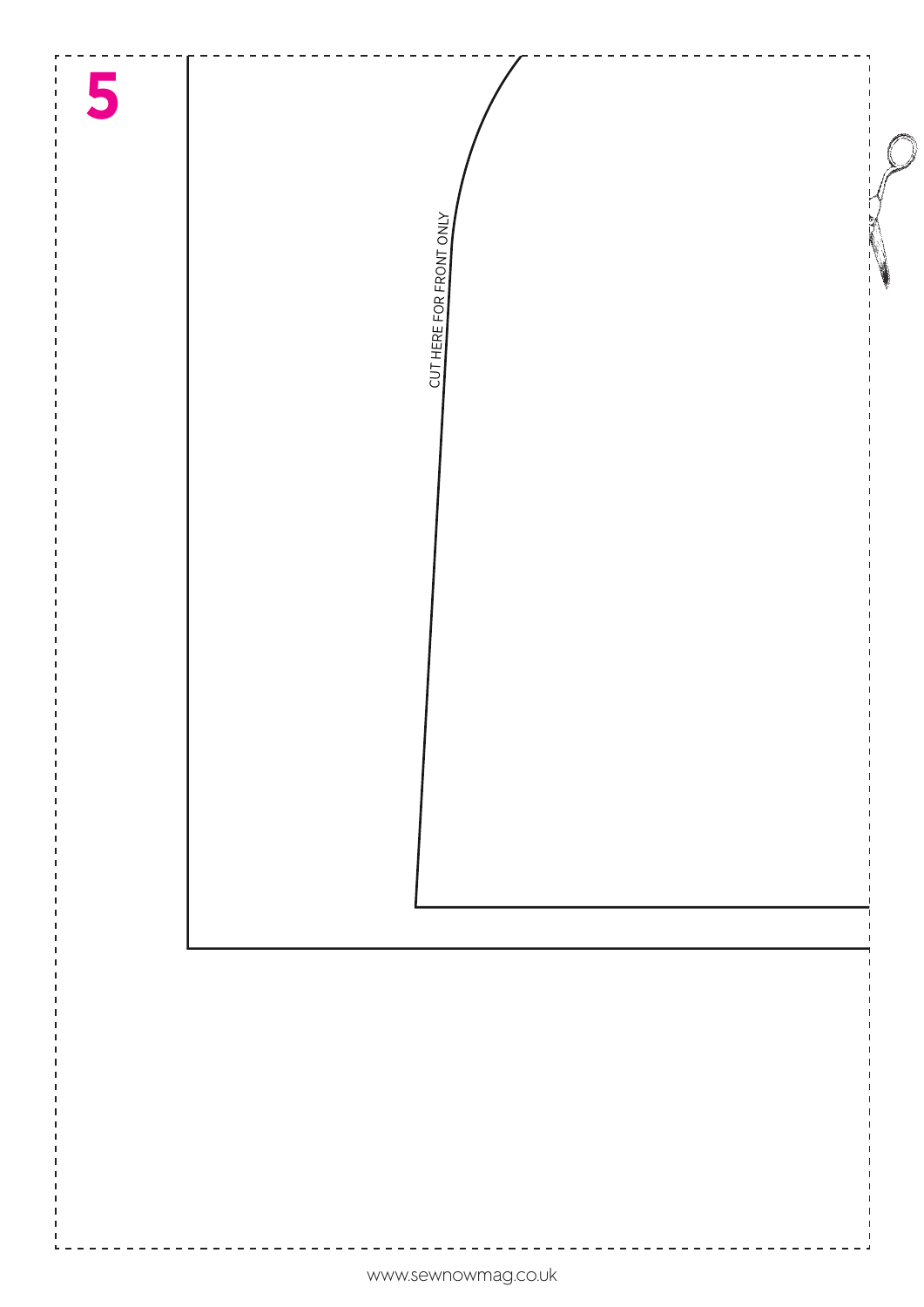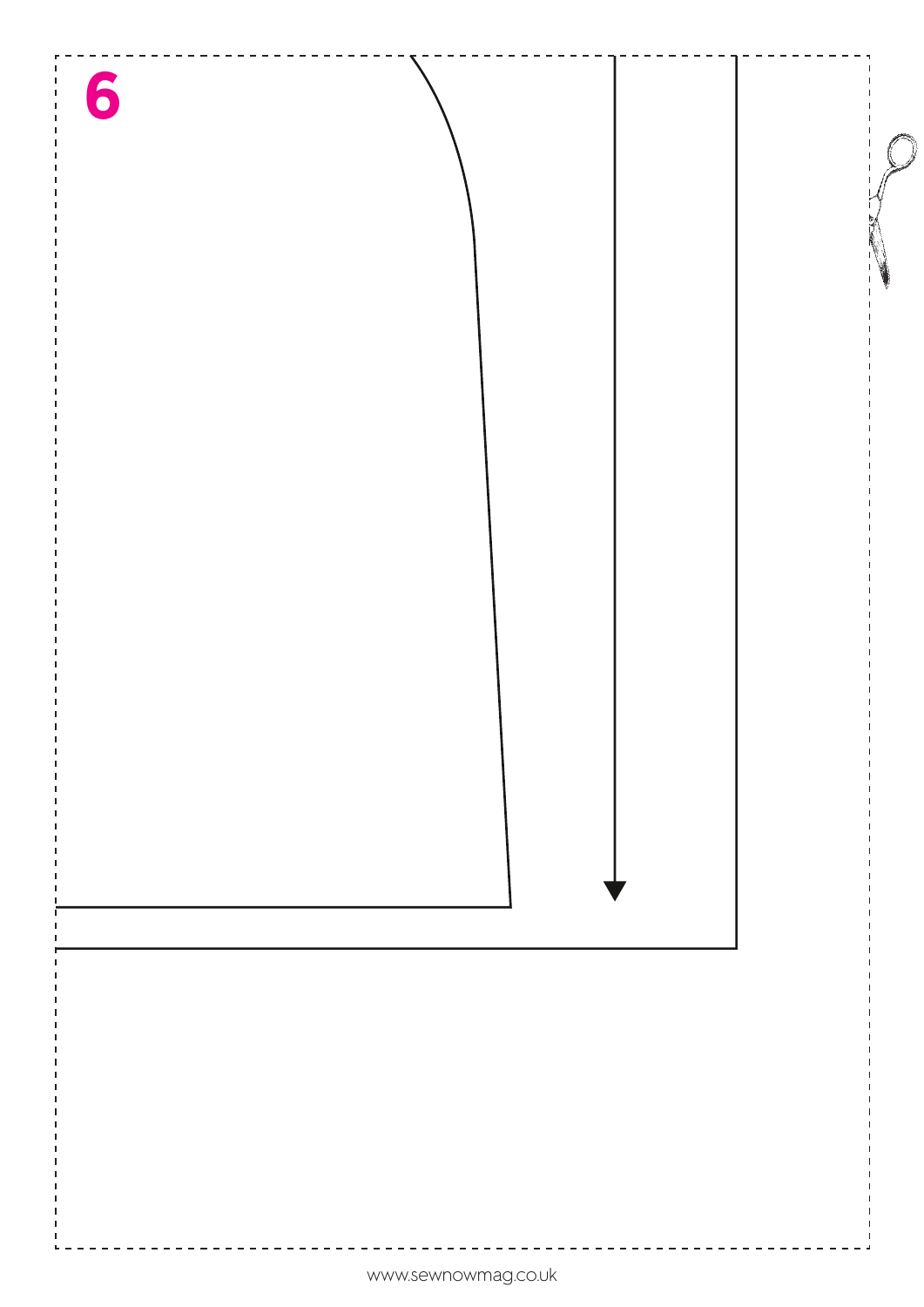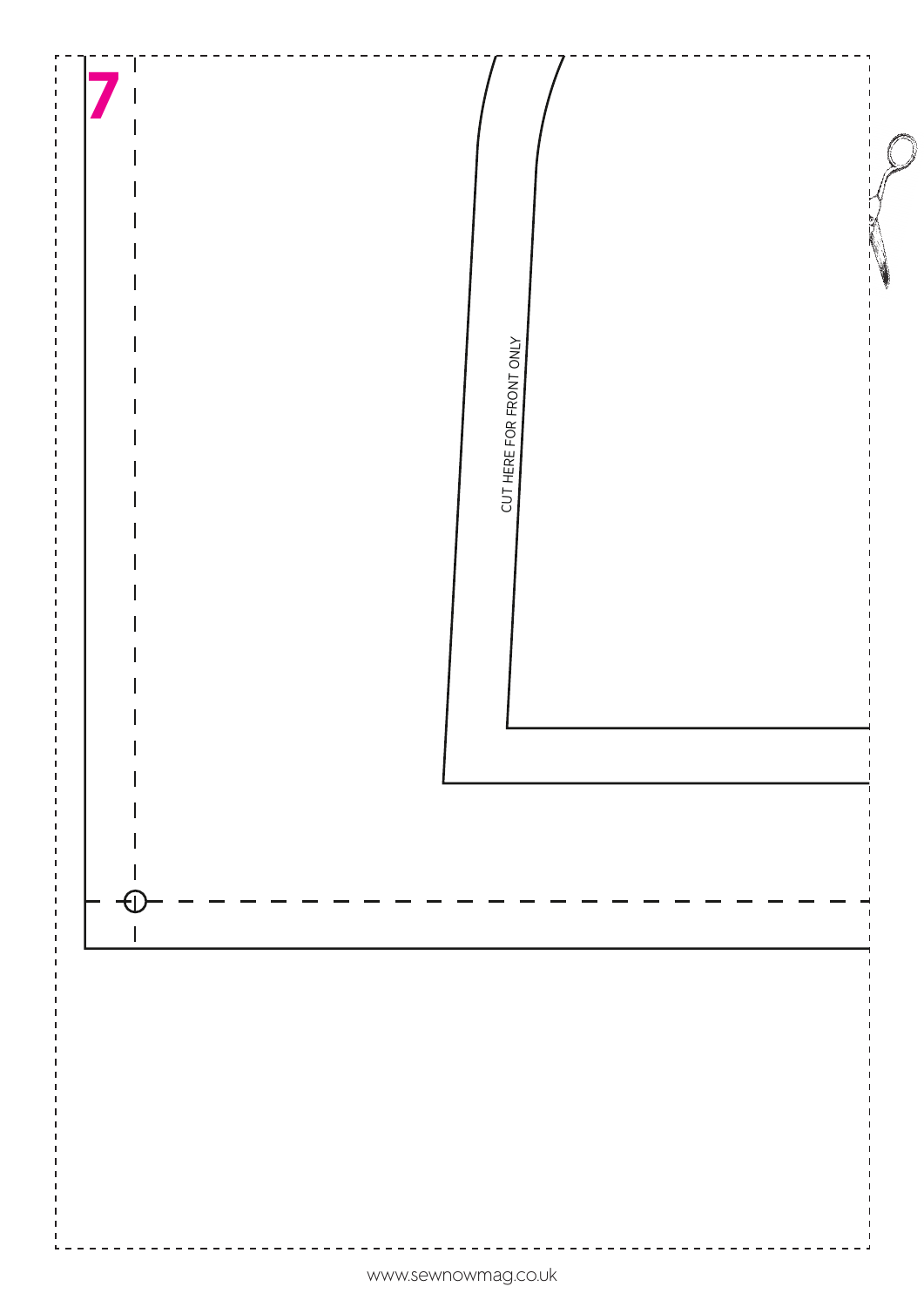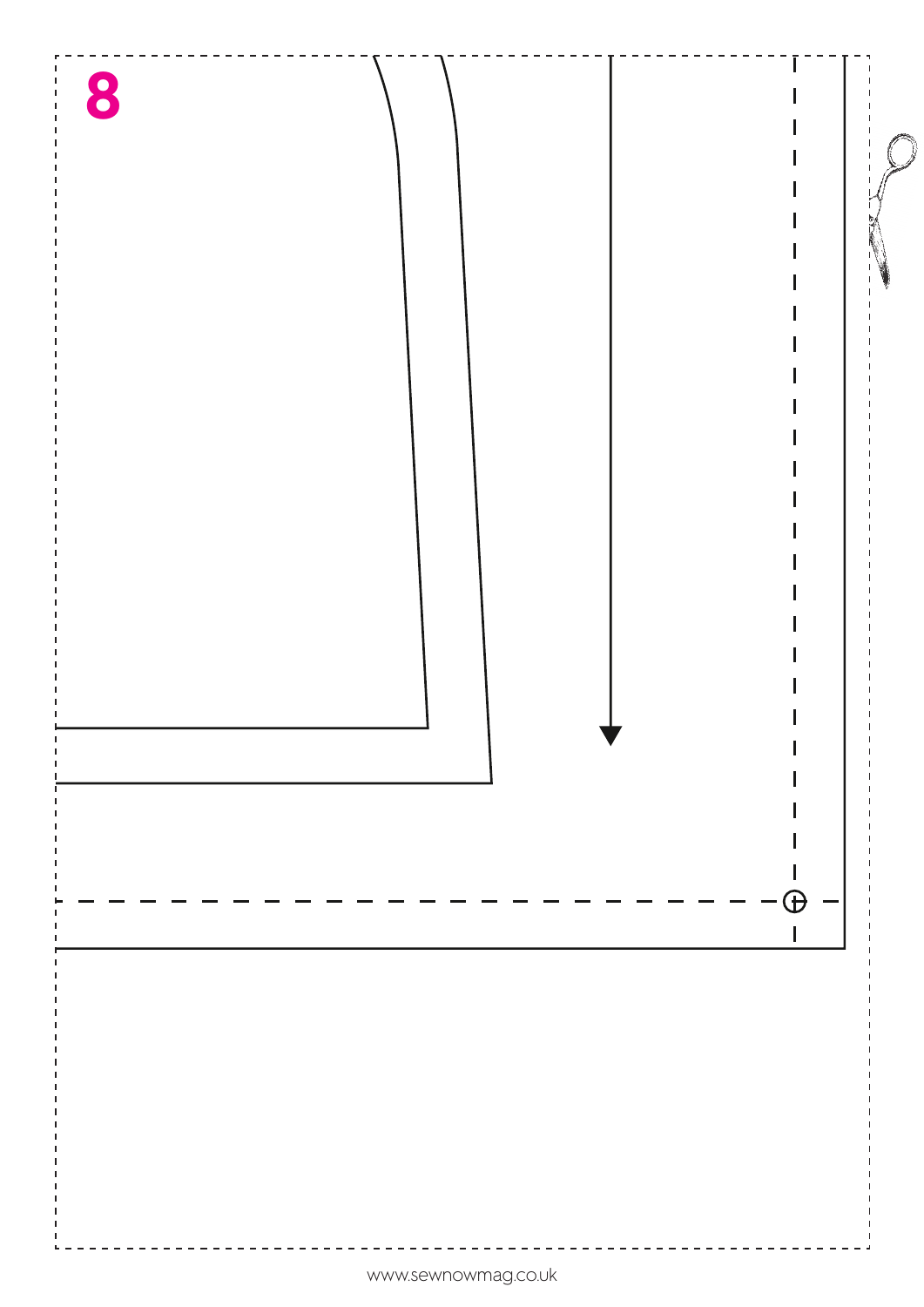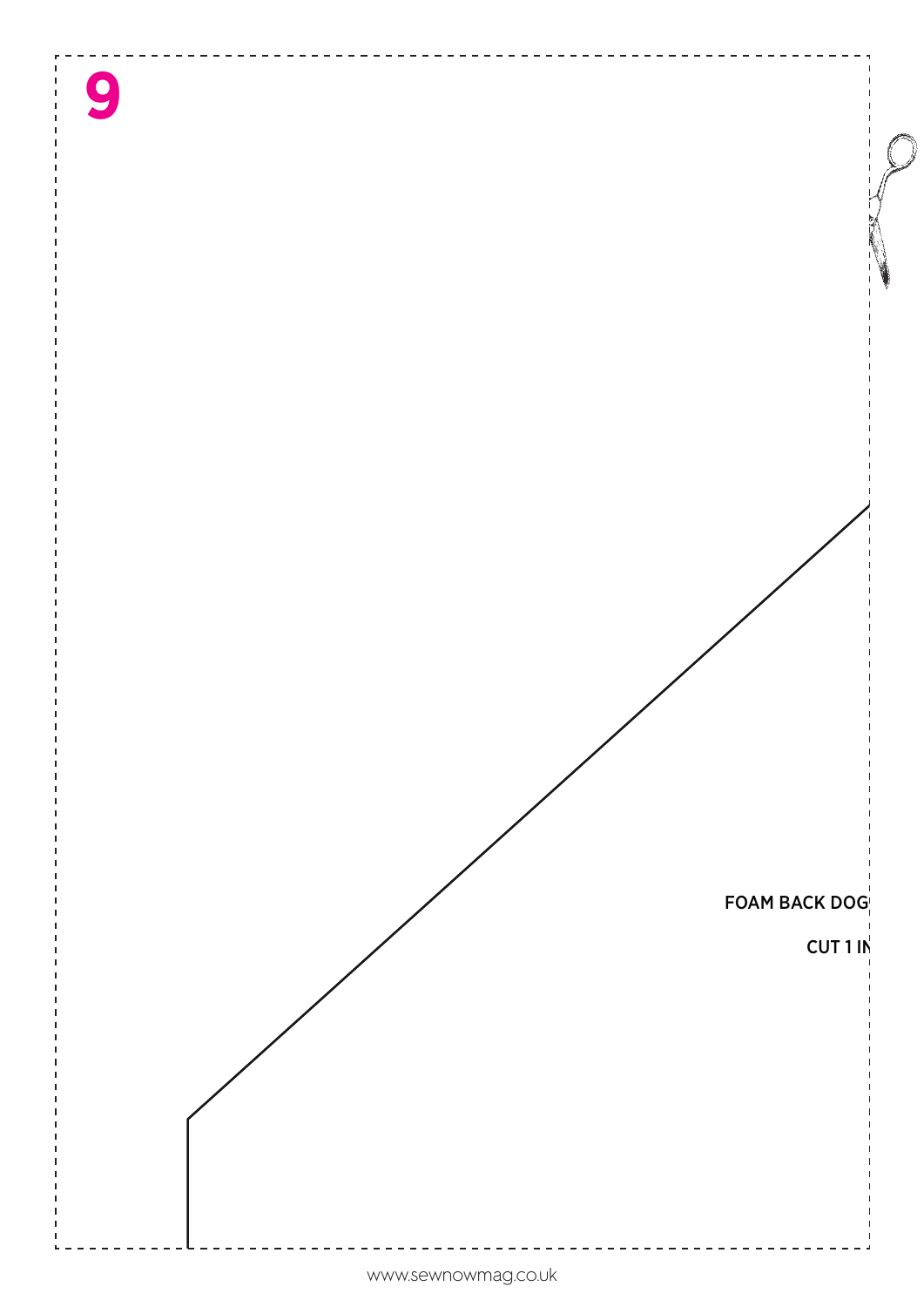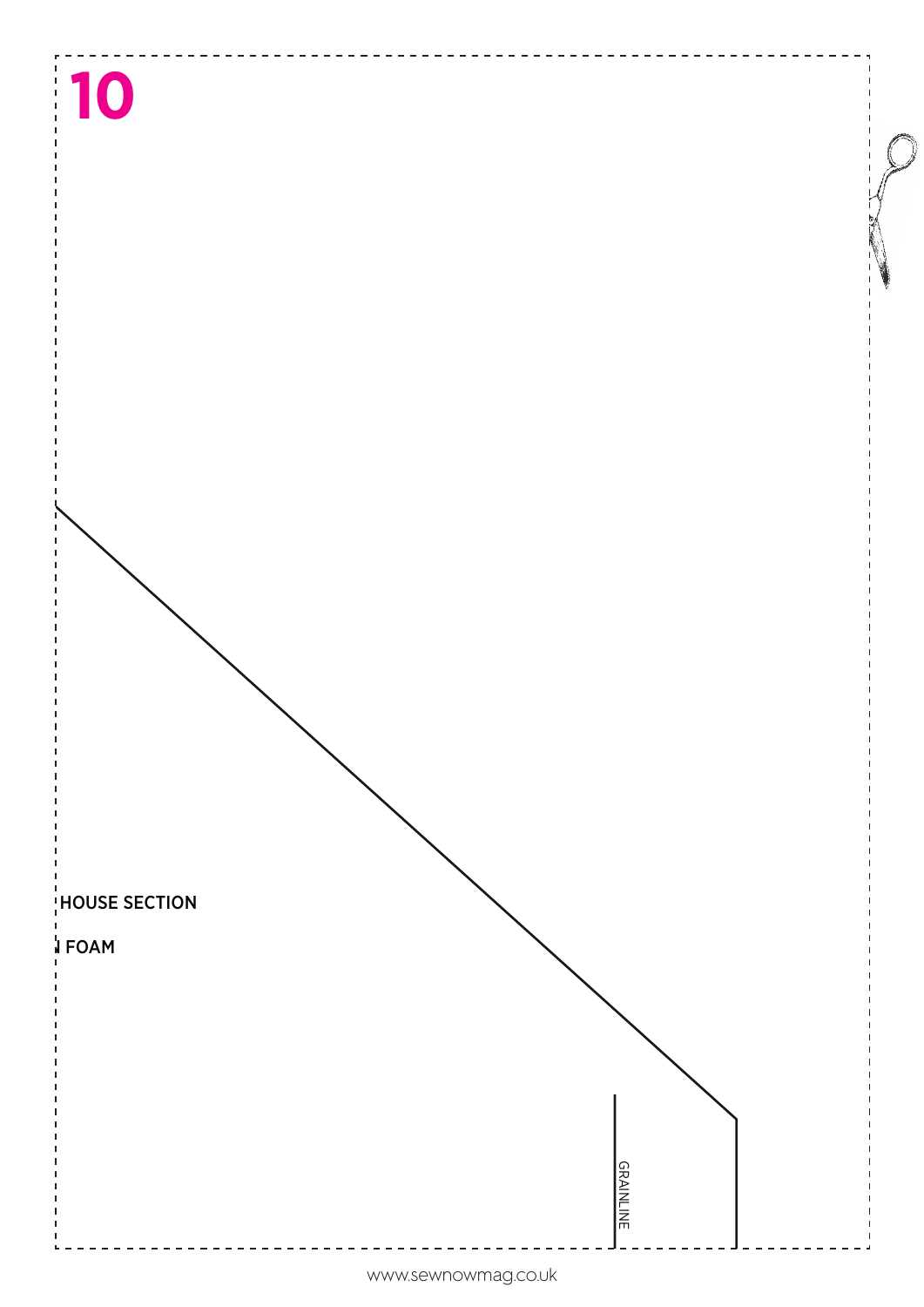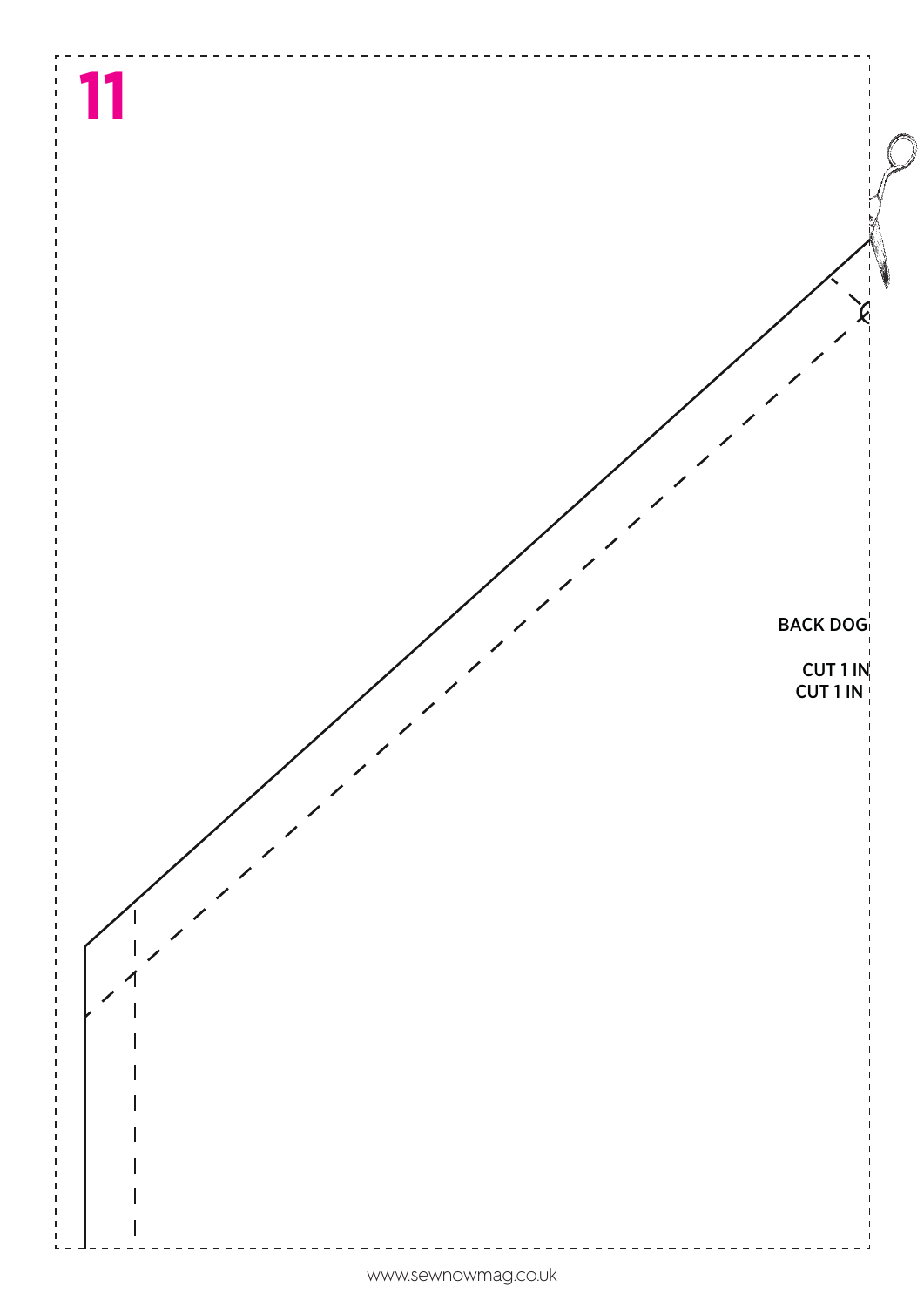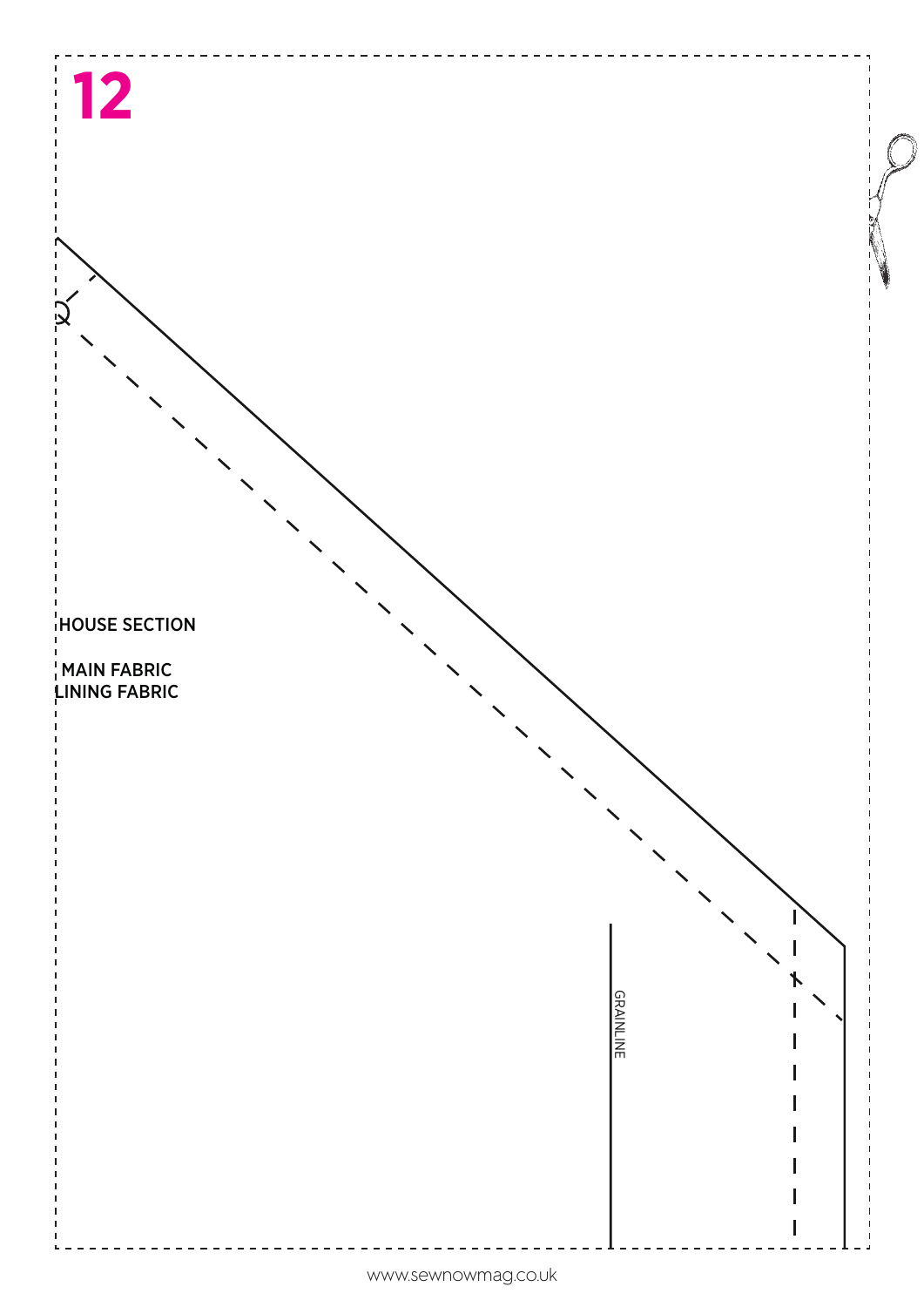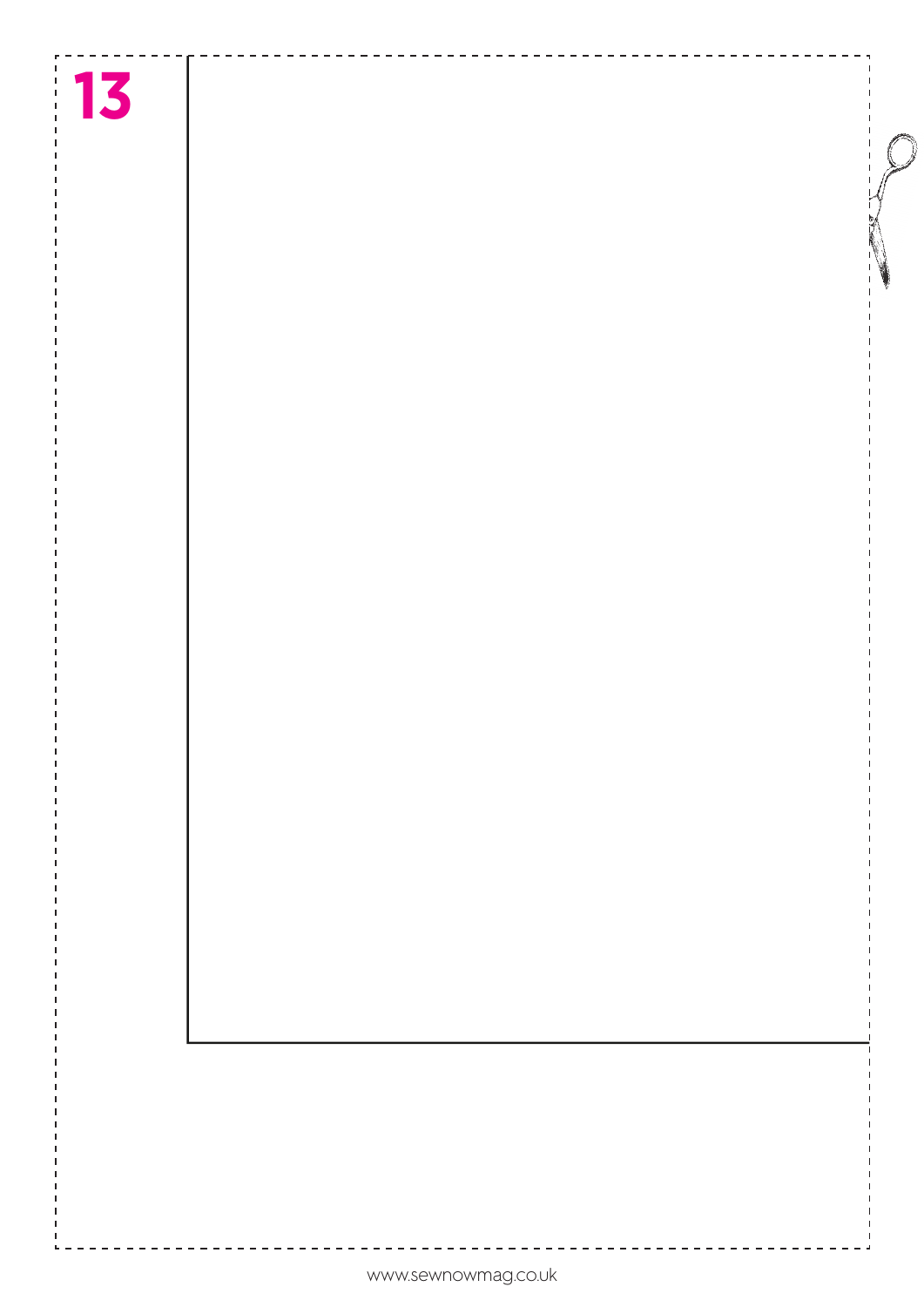# **13**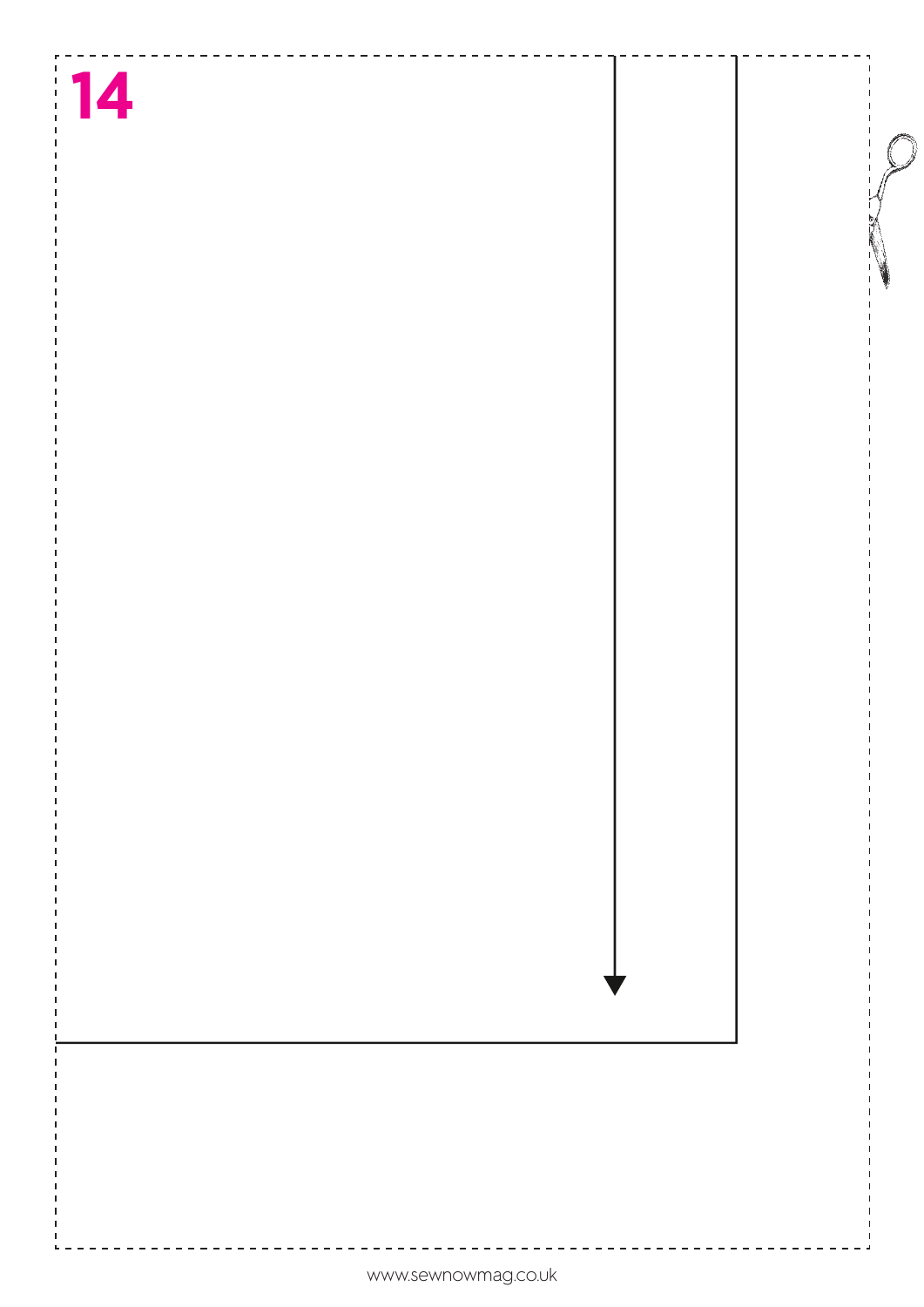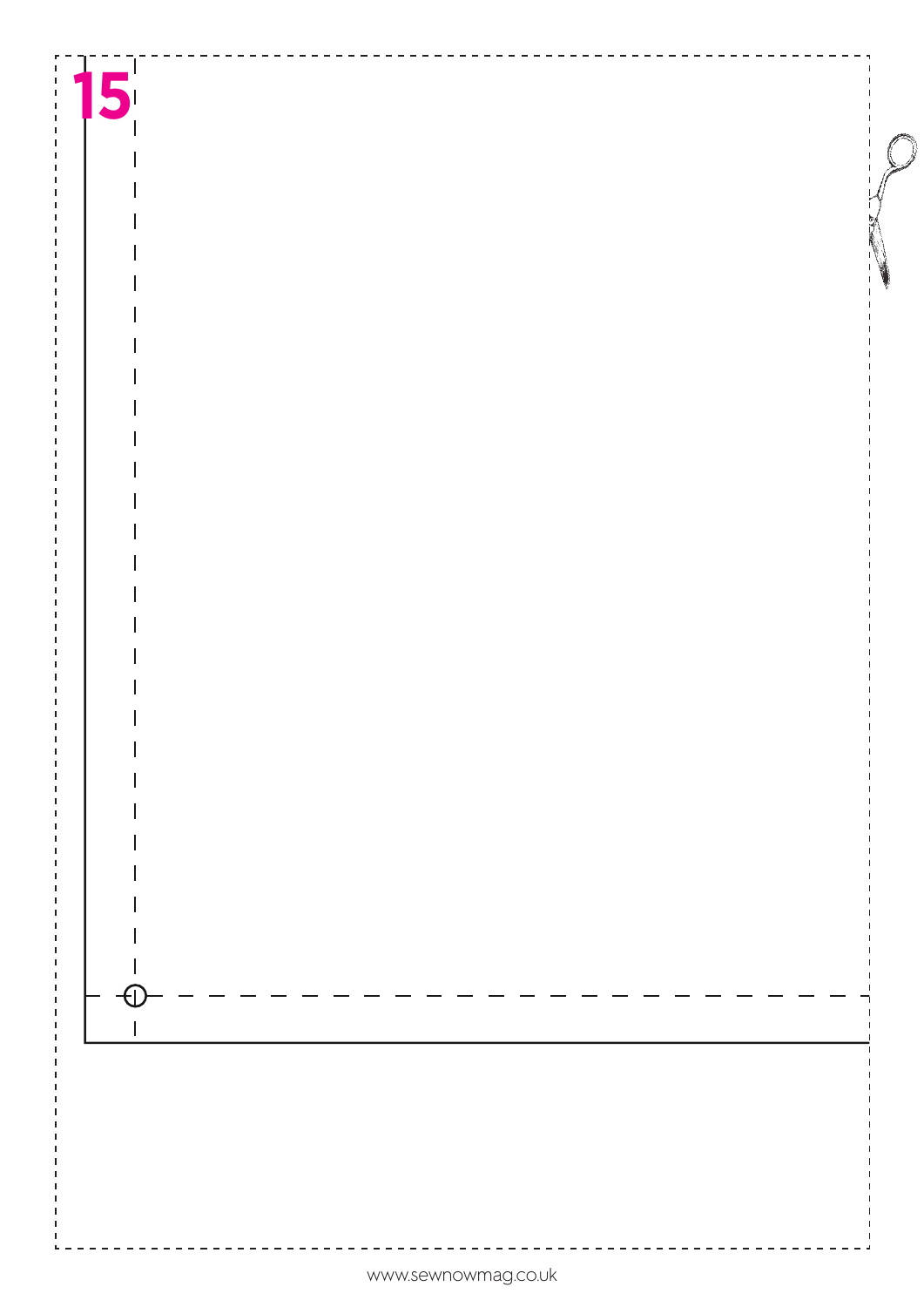